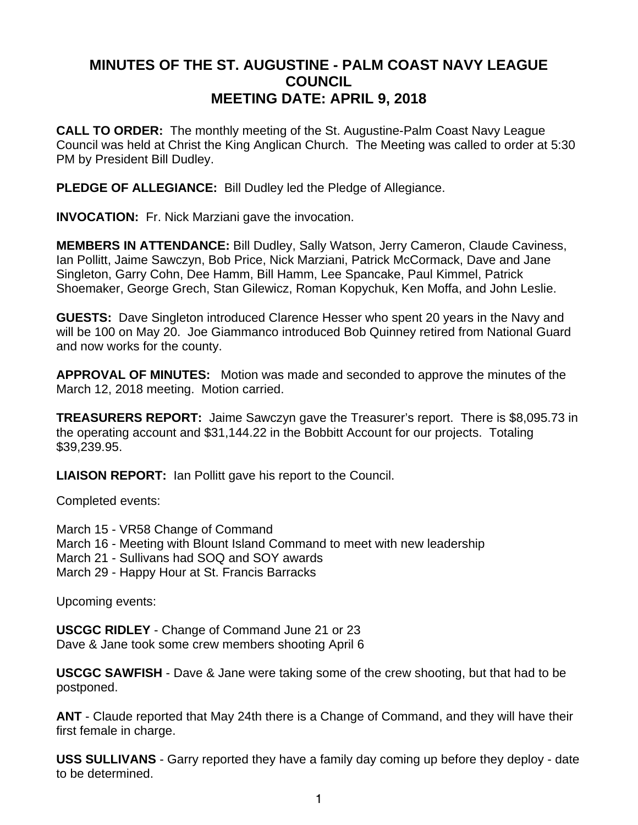## **MINUTES OF THE ST. AUGUSTINE - PALM COAST NAVY LEAGUE COUNCIL MEETING DATE: APRIL 9, 2018**

**CALL TO ORDER:** The monthly meeting of the St. Augustine-Palm Coast Navy League Council was held at Christ the King Anglican Church. The Meeting was called to order at 5:30 PM by President Bill Dudley.

**PLEDGE OF ALLEGIANCE:** Bill Dudley led the Pledge of Allegiance.

**INVOCATION:** Fr. Nick Marziani gave the invocation.

**MEMBERS IN ATTENDANCE:** Bill Dudley, Sally Watson, Jerry Cameron, Claude Caviness, Ian Pollitt, Jaime Sawczyn, Bob Price, Nick Marziani, Patrick McCormack, Dave and Jane Singleton, Garry Cohn, Dee Hamm, Bill Hamm, Lee Spancake, Paul Kimmel, Patrick Shoemaker, George Grech, Stan Gilewicz, Roman Kopychuk, Ken Moffa, and John Leslie.

**GUESTS:** Dave Singleton introduced Clarence Hesser who spent 20 years in the Navy and will be 100 on May 20. Joe Giammanco introduced Bob Quinney retired from National Guard and now works for the county.

**APPROVAL OF MINUTES:** Motion was made and seconded to approve the minutes of the March 12, 2018 meeting. Motion carried.

**TREASURERS REPORT:** Jaime Sawczyn gave the Treasurer's report. There is \$8,095.73 in the operating account and \$31,144.22 in the Bobbitt Account for our projects. Totaling \$39,239.95.

**LIAISON REPORT:** Ian Pollitt gave his report to the Council.

Completed events:

March 15 - VR58 Change of Command March 16 - Meeting with Blount Island Command to meet with new leadership March 21 - Sullivans had SOQ and SOY awards March 29 - Happy Hour at St. Francis Barracks

Upcoming events:

**USCGC RIDLEY** - Change of Command June 21 or 23 Dave & Jane took some crew members shooting April 6

**USCGC SAWFISH** - Dave & Jane were taking some of the crew shooting, but that had to be postponed.

**ANT** - Claude reported that May 24th there is a Change of Command, and they will have their first female in charge.

**USS SULLIVANS** - Garry reported they have a family day coming up before they deploy - date to be determined.